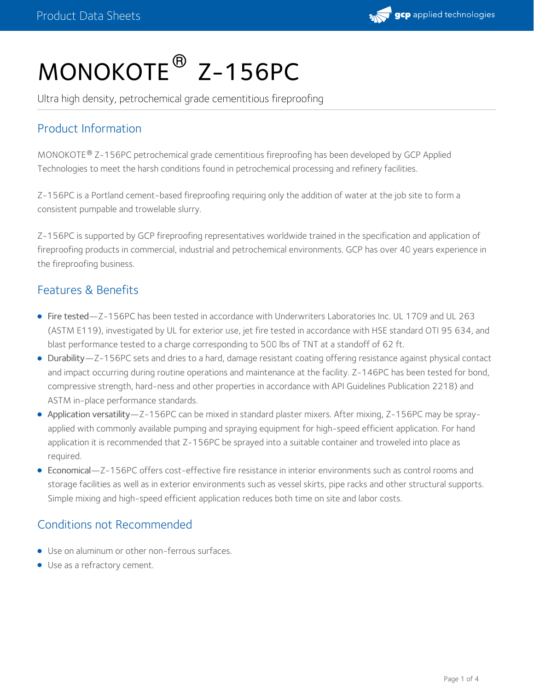

# MONOKOTE<sup>®</sup> Z-156PC

Ultra high density, petrochemical grade cementitious fireproofing

## Product Information

 $MONOKOTE$ <sup>®</sup> Z-156PC petrochemical grade cementitious fireproofing has been developed by GCP Applied Technologies to meet the harsh conditions found in petrochemical processing and refinery facilities.

Z-156PC is a Portland cement-based fireproofing requiring only the addition of water at the job site to form a consistent pumpable and trowelable slurry.

Z-156PC is supported by GCP fireproofing representatives worldwide trained in the specification and application of fireproofing products in commercial, industrial and petrochemical environments. GCP has over 40 years experience in the fireproofing business.

#### Features & Benefits

- Fire tested—Z-156PC has been tested in accordance with Underwriters Laboratories Inc. UL 1709 and UL 263 (ASTM E119), investigated by UL for exterior use, jet fire tested in accordance with HSE standard OTI 95 634, and blast performance tested to a charge corresponding to 500 lbs of TNT at a standoff of 62 ft.
- Durability—Z-156PC sets and dries to a hard, damage resistant coating offering resistance against physical contact and impact occurring during routine operations and maintenance at the facility. Z-146PC has been tested for bond, compressive strength, hard-ness and other properties in accordance with API Guidelines Publication 2218) and ASTM in-place performance standards.
- Application versatility—Z-156PC can be mixed in standard plaster mixers. After mixing, Z-156PC may be sprayapplied with commonly available pumping and spraying equipment for high-speed efficient application. For hand application it is recommended that Z-156PC be sprayed into a suitable container and troweled into place as required.
- Economical—Z-156PC offers cost-effective fire resistance in interior environments such as control rooms and storage facilities as well as in exterior environments such as vessel skirts, pipe racks and other structural supports. Simple mixing and high-speed efficient application reduces both time on site and labor costs.

## Conditions not Recommended

- Use on aluminum or other non-ferrous surfaces.
- Use as a refractory cement.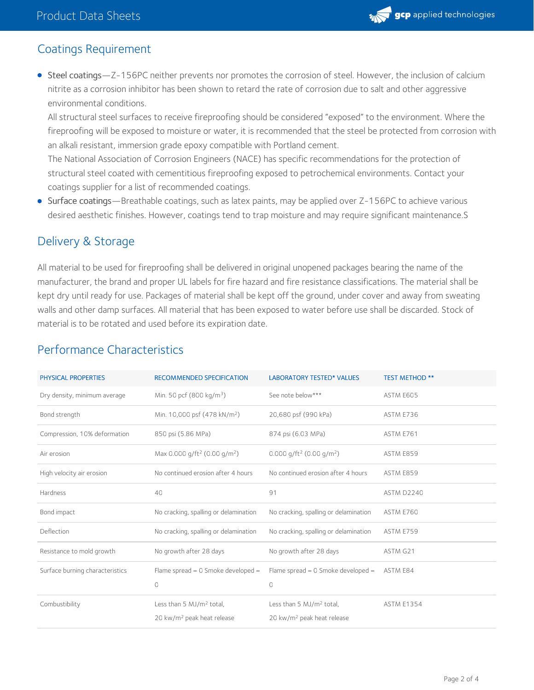

#### Coatings Requirement

• Steel coatings—Z-156PC neither prevents nor promotes the corrosion of steel. However, the inclusion of calcium nitrite as a corrosion inhibitor has been shown to retard the rate of corrosion due to salt and other aggressive environmental conditions.

All structural steel surfaces to receive fireproofing should be considered "exposed" to the environment. Where the fireproofing will be exposed to moisture or water, it is recommended that the steel be protected from corrosion with an alkali resistant, immersion grade epoxy compatible with Portland cement.

The National Association of Corrosion Engineers (NACE) has specific recommendations for the protection of structural steel coated with cementitious fireproofing exposed to petrochemical environments. Contact your coatings supplier for a list of recommended coatings.

Surface coatings—Breathable coatings, such as latex paints, may be applied over Z-156PC to achieve various desired aesthetic finishes. However, coatings tend to trap moisture and may require significant maintenance.S

#### Delivery & Storage

All material to be used for fireproofing shall be delivered in original unopened packages bearing the name of the manufacturer, the brand and proper UL labels for fire hazard and fire resistance classifications. The material shall be kept dry until ready for use. Packages of material shall be kept off the ground, under cover and away from sweating walls and other damp surfaces. All material that has been exposed to water before use shall be discarded. Stock of material is to be rotated and used before its expiration date.

| PHYSICAL PROPERTIES             | <b>RECOMMENDED SPECIFICATION</b>                                               | <b>LABORATORY TESTED* VALUES</b>                                               | <b>TEST METHOD **</b> |
|---------------------------------|--------------------------------------------------------------------------------|--------------------------------------------------------------------------------|-----------------------|
| Dry density, minimum average    | Min. 50 pcf (800 kg/m <sup>3</sup> )                                           | See note below***                                                              | ASTM E605             |
| Bond strength                   | Min. 10,000 psf (478 kN/m <sup>2</sup> )                                       | 20,680 psf (990 kPa)                                                           | ASTM E736             |
| Compression, 10% deformation    | 850 psi (5.86 MPa)                                                             | 874 psi (6.03 MPa)                                                             | ASTM E761             |
| Air erosion                     | Max 0.000 g/ft <sup>2</sup> (0.00 g/m <sup>2</sup> )                           | 0.000 $q/ft^2$ (0.00 $q/m^2$ )                                                 | ASTM E859             |
| High velocity air erosion       | No continued erosion after 4 hours                                             | No continued erosion after 4 hours                                             | ASTM E859             |
| Hardness                        | 40                                                                             | 91                                                                             | ASTM D2240            |
| Bond impact                     | No cracking, spalling or delamination                                          | No cracking, spalling or delamination                                          | ASTM E760             |
| Deflection                      | No cracking, spalling or delamination                                          | No cracking, spalling or delamination                                          | ASTM E759             |
| Resistance to mold growth       | No growth after 28 days                                                        | No growth after 28 days                                                        | ASTM G21              |
| Surface burning characteristics | Flame spread = $0$ Smoke developed =<br>$\circ$                                | Flame spread = $0$ Smoke developed =<br>0                                      | ASTM E84              |
| Combustibility                  | Less than 5 MJ/m <sup>2</sup> total,<br>20 kw/m <sup>2</sup> peak heat release | Less than 5 MJ/m <sup>2</sup> total,<br>20 kw/m <sup>2</sup> peak heat release | <b>ASTM E1354</b>     |

#### Performance Characteristics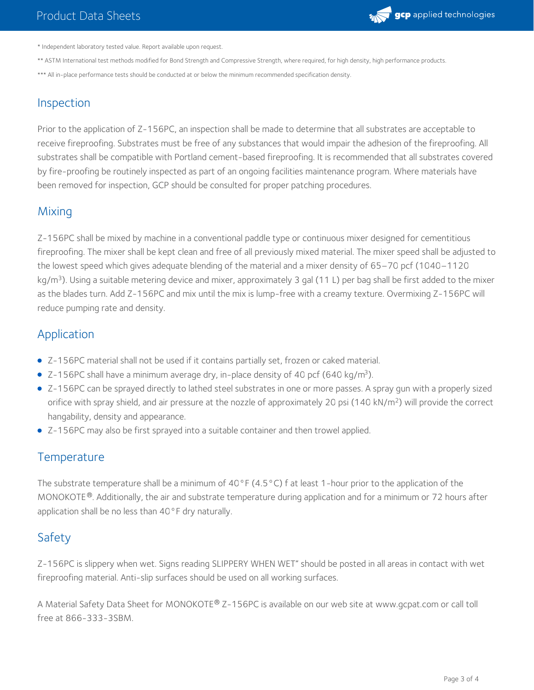

\* Independent laboratory tested value. Report available upon request.

- \*\* ASTM International test methods modified for Bond Strength and Compressive Strength, where required, for high density, high performance products.
- \*\*\* All in-place performance tests should be conducted at or below the minimum recommended specification density.

# Inspection

Prior to the application of Z-156PC, an inspection shall be made to determine that all substrates are acceptable to receive fireproofing. Substrates must be free of any substances that would impair the adhesion of the fireproofing. All substrates shall be compatible with Portland cement-based fireproofing. It is recommended that all substrates covered by fire-proofing be routinely inspected as part of an ongoing facilities maintenance program. Where materials have been removed for inspection, GCP should be consulted for proper patching procedures.

## **Mixing**

Z-156PC shall be mixed by machine in a conventional paddle type or continuous mixer designed for cementitious fireproofing. The mixer shall be kept clean and free of all previously mixed material. The mixer speed shall be adjusted to the lowest speed which gives adequate blending of the material and a mixer density of 65–70 pcf (1040–1120 kg/m<sup>3</sup>). Using a suitable metering device and mixer, approximately 3 gal (11 L) per bag shall be first added to the mixer as the blades turn. Add Z-156PC and mix until the mix is lump-free with a creamy texture. Overmixing Z-156PC will reduce pumping rate and density.

## Application

- Z-156PC material shall not be used if it contains partially set, frozen or caked material.
- $\bullet$  Z-156PC shall have a minimum average dry, in-place density of 40 pcf (640 kg/m<sup>3</sup>).
- Z-156PC can be sprayed directly to lathed steel substrates in one or more passes. A spray gun with a properly sized orifice with spray shield, and air pressure at the nozzle of approximately 20 psi (140 kN/m<sup>2</sup>) will provide the correct hangability, density and appearance.
- Z-156PC may also be first sprayed into a suitable container and then trowel applied.

#### **Temperature**

The substrate temperature shall be a minimum of 40°F (4.5°C) f at least 1-hour prior to the application of the MONOKOTE®. Additionally, the air and substrate temperature during application and for a minimum or 72 hours after application shall be no less than 40°F dry naturally.

## Safety

Z-156PC is slippery when wet. Signs reading SLIPPERY WHEN WET" should be posted in all areas in contact with wet fireproofing material. Anti-slip surfaces should be used on all working surfaces.

A Material Safety Data Sheet for MONOKOTE® Z-156PC is available on our web site at www.gcpat.com or call toll free at 866-333-3SBM.